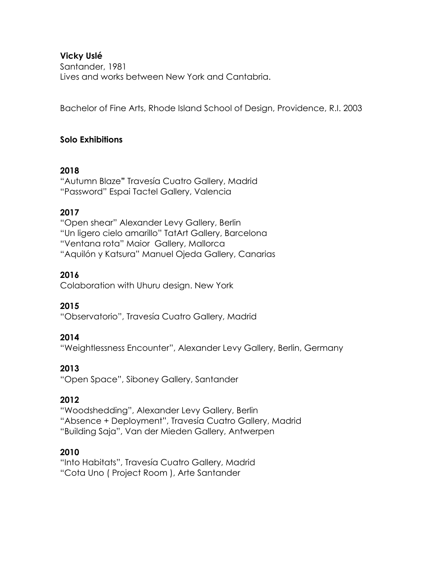## **Vicky Uslé**

Santander, 1981 Lives and works between New York and Cantabria.

Bachelor of Fine Arts, Rhode Island School of Design, Providence, R.I. 2003

## **Solo Exhibitions**

### **2018**

"Autumn Blaze**"** Travesía Cuatro Gallery, Madrid "Password" Espai Tactel Gallery, Valencia

## **2017**

"Open shear" Alexander Levy Gallery, Berlin "Un ligero cielo amarillo" TatArt Gallery, Barcelona "Ventana rota" Maior Gallery, Mallorca "Aquilón y Katsura" Manuel Ojeda Gallery, Canarias

## **2016**

Colaboration with Uhuru design. New York

# **2015**

"Observatorio", Travesía Cuatro Gallery, Madrid

### **2014**

"Weightlessness Encounter", Alexander Levy Gallery, Berlin, Germany

# **2013**

"Open Space", Siboney Gallery, Santander

# **2012**

"Woodshedding", Alexander Levy Gallery, Berlin "Absence + Deployment", Travesía Cuatro Gallery, Madrid "Building Saja", Van der Mieden Gallery, Antwerpen

### **2010**

"Into Habitats", Travesía Cuatro Gallery, Madrid "Cota Uno ( Project Room ), Arte Santander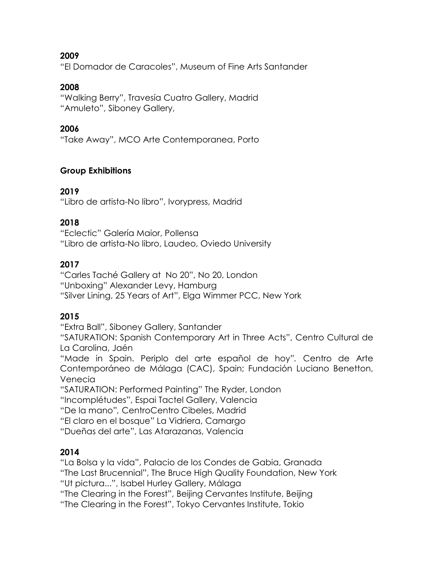**2009**

"El Domador de Caracoles", Museum of Fine Arts Santander

### **2008**

"Walking Berry", Travesía Cuatro Gallery, Madrid "Amuleto", Siboney Gallery,

### **2006**

"Take Away", MCO Arte Contemporanea, Porto

## **Group Exhibitions**

## **2019**

"Libro de artista-No libro", Ivorypress, Madrid

## **2018**

"Eclectic" Galería Maior, Pollensa "Libro de artista-No libro, Laudeo, Oviedo University

# **2017**

"Carles Taché Gallery at No 20", No 20, London "Unboxing" Alexander Levy, Hamburg "Silver Lining, 25 Years of Art", Elga Wimmer PCC, New York

# **2015**

"Extra Ball", Siboney Gallery, Santander

"SATURATION: Spanish Contemporary Art in Three Acts", Centro Cultural de La Carolina, Jaén

"Made in Spain. Periplo del arte español de hoy*".* Centro de Arte Contemporáneo de Málaga (CAC), Spain; Fundación Luciano Benetton, Venecia

"SATURATION: Performed Painting" The Ryder, London

"Incomplétudes", Espai Tactel Gallery, Valencia

"De la mano"*,* CentroCentro Cibeles, Madrid

"El claro en el bosque" La Vidriera, Camargo

"Dueñas del arte", Las Atarazanas, Valencia

# **2014**

"La Bolsa y la vida", Palacio de los Condes de Gabia, Granada "The Last Brucennial", The Bruce High Quality Foundation, New York "Ut pictura...", Isabel Hurley Gallery, Málaga "The Clearing in the Forest", Beijing Cervantes Institute, Beijing "The Clearing in the Forest", Tokyo Cervantes Institute, Tokio